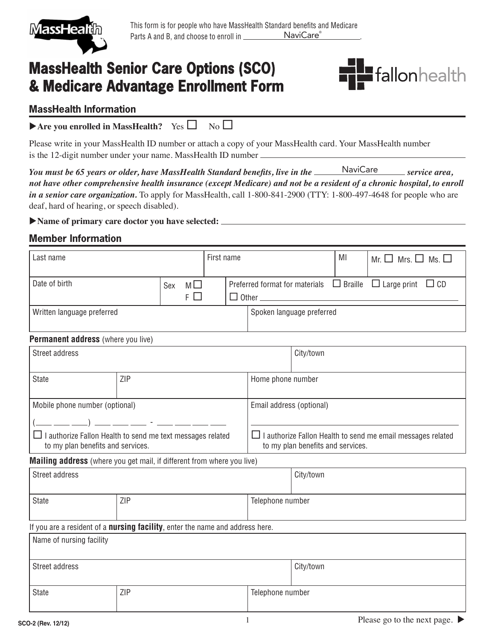

# **MassHealth Senior Care Options (SCO) & Medicare Advantage Enrollment Form**



#### **MassHealth Information**

| Are you enrolled in MassHealth? Yes $\Box$ No $\Box$ |  |  |
|------------------------------------------------------|--|--|
|------------------------------------------------------|--|--|

Please write in your MassHealth ID number or attach a copy of your MassHealth card. Your MassHealth number is the 12-digit number under your name. MassHealth ID number  $\equiv$ 

You must be 65 years or older, have MassHealth Standard benefits, live in the **Samman Standard Service area**, *not have other comprehensive health insurance (except Medicare) and not be a resident of a chronic hospital, to enroll in a senior care organization.* To apply for MassHealth, call 1-800-841-2900 (TTY: 1-800-497-4648 for people who are deaf, hard of hearing, or speech disabled).

#### u**Name of primary care doctor you have selected:**

### **Member Information**

| Last name                                                                                              |            | First name      |                                                                                                         |                           |                  | MI  | Mr. $\Box$ Mrs. $\Box$ Ms. $\Box$                                          |
|--------------------------------------------------------------------------------------------------------|------------|-----------------|---------------------------------------------------------------------------------------------------------|---------------------------|------------------|-----|----------------------------------------------------------------------------|
| Date of birth                                                                                          |            | $M \Box$<br>Sex |                                                                                                         |                           |                  |     | Preferred format for materials $\Box$ Braille $\Box$ Large print $\Box$ CD |
|                                                                                                        |            | $F \Box$        |                                                                                                         |                           |                  |     |                                                                            |
| Written language preferred                                                                             |            |                 |                                                                                                         | Spoken language preferred |                  |     |                                                                            |
| Permanent address (where you live)                                                                     |            |                 |                                                                                                         |                           |                  |     |                                                                            |
| <b>Street address</b>                                                                                  |            |                 |                                                                                                         | City/town                 |                  |     |                                                                            |
| <b>State</b>                                                                                           | <b>ZIP</b> |                 | Home phone number                                                                                       |                           |                  |     |                                                                            |
| Mobile phone number (optional)                                                                         |            |                 | Email address (optional)                                                                                |                           |                  |     |                                                                            |
| _ __ __ ) __ __ __ - __ - __ __ __                                                                     |            |                 |                                                                                                         |                           |                  |     |                                                                            |
| $\Box$ I authorize Fallon Health to send me text messages related<br>to my plan benefits and services. |            |                 | $\Box$ I authorize Fallon Health to send me email messages related<br>to my plan benefits and services. |                           |                  |     |                                                                            |
| Mailing address (where you get mail, if different from where you live)                                 |            |                 |                                                                                                         |                           |                  |     |                                                                            |
| <b>Street address</b>                                                                                  |            |                 |                                                                                                         | City/town                 |                  |     |                                                                            |
| <b>State</b>                                                                                           | ZIP        |                 |                                                                                                         | Telephone number          |                  |     |                                                                            |
| If you are a resident of a <b>nursing facility</b> , enter the name and address here.                  |            |                 |                                                                                                         |                           |                  |     |                                                                            |
| Name of nursing facility                                                                               |            |                 |                                                                                                         |                           |                  |     |                                                                            |
| Street address                                                                                         |            |                 |                                                                                                         |                           | City/town        |     |                                                                            |
| State                                                                                                  | ZIP        |                 |                                                                                                         |                           | Telephone number |     |                                                                            |
|                                                                                                        |            |                 |                                                                                                         |                           |                  | T31 |                                                                            |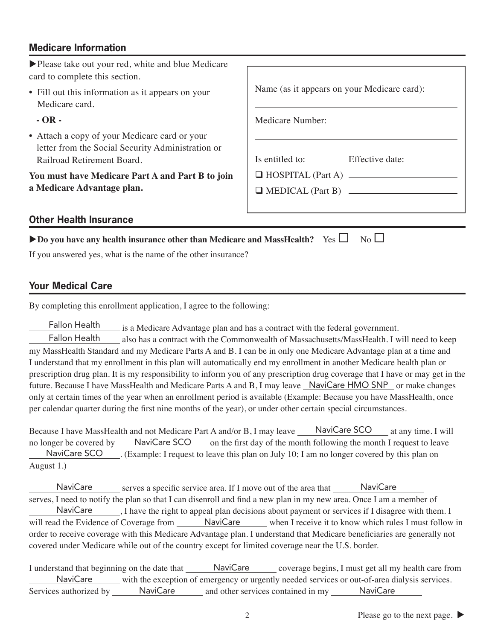## **Medicare Information**

| ▶ Please take out your red, white and blue Medicare<br>card to complete this section.                                                            |                                                     |  |
|--------------------------------------------------------------------------------------------------------------------------------------------------|-----------------------------------------------------|--|
| • Fill out this information as it appears on your<br>Medicare card.                                                                              | Name (as it appears on your Medicare card):         |  |
| $-OR -$                                                                                                                                          | <b>Medicare Number:</b>                             |  |
| • Attach a copy of your Medicare card or your<br>letter from the Social Security Administration or<br>Railroad Retirement Board.                 | Is entitled to:<br>Effective date:                  |  |
| You must have Medicare Part A and Part B to join<br>a Medicare Advantage plan.                                                                   | HOSPITAL (Part A)<br>$\Box$ MEDICAL (Part B) $\Box$ |  |
| <b>Other Health Insurance</b>                                                                                                                    |                                                     |  |
| Do you have any health insurance other than Medicare and MassHealth? Yes $\Box$<br>If you answered yes, what is the name of the other insurance? | $No$ $\Box$                                         |  |

### **Your Medical Care**

By completing this enrollment application, I agree to the following:

 is a Medicare Advantage plan and has a contract with the federal government. Fallon Health

also has a contract with the Commonwealth of Massachusetts/MassHealth. I will need to keep my MassHealth Standard and my Medicare Parts A and B. I can be in only one Medicare Advantage plan at a time and I understand that my enrollment in this plan will automatically end my enrollment in another Medicare health plan or prescription drug plan. It is my responsibility to inform you of any prescription drug coverage that I have or may get in the future. Because I have MassHealth and Medicare Parts A and B, I may leave \_NaviCare HMO SNP\_ or make changes only at certain times of the year when an enrollment period is available (Example: Because you have MassHealth, once per calendar quarter during the first nine months of the year), or under other certain special circumstances. Fallon Health

Because I have MassHealth and not Medicare Part A and/or B, I may leave MaviCare SCO at any time. I will no longer be covered by **NaviCare SCO** on the first day of the month following the month I request to leave NaviCare SCO ... (Example: I request to leave this plan on July 10; I am no longer covered by this plan on August 1.)

NaviCare serves a specific service area. If I move out of the area that SaviCare serves, I need to notify the plan so that I can disenroll and find a new plan in my new area. Once I am a member of NaviCare \_\_\_\_\_\_, I have the right to appeal plan decisions about payment or services if I disagree with them. I will read the Evidence of Coverage from \_\_\_\_\_\_ NaviCare \_\_\_\_\_ when I receive it to know which rules I must follow in order to receive coverage with this Medicare Advantage plan. I understand that Medicare beneficiaries are generally not covered under Medicare while out of the country except for limited coverage near the U.S. border.

I understand that beginning on the date that NaviCare coverage begins, I must get all my health care from NaviCare with the exception of emergency or urgently needed services or out-of-area dialysis services. Services authorized by \_\_\_\_\_\_ NaviCare \_\_\_\_\_\_ and other services contained in my \_\_\_\_\_\_ NaviCare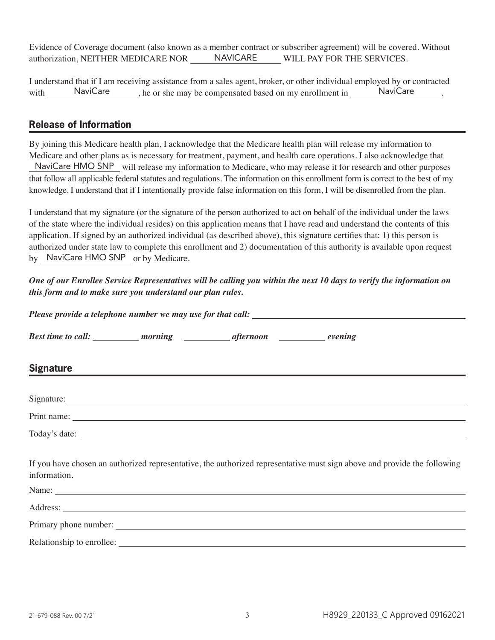Evidence of Coverage document (also known as a member contract or subscriber agreement) will be covered. Without authorization, NEITHER MEDICARE NOR NAVICARE WILL PAY FOR THE SERVICES. NAVICARE

I understand that if I am receiving assistance from a sales agent, broker, or other individual employed by or contracted with NaviCare here is the may be compensated based on my enrollment in NaviCare here is not need to have not need to have negative.

#### **Release of Information**

By joining this Medicare health plan, I acknowledge that the Medicare health plan will release my information to Medicare and other plans as is necessary for treatment, payment, and health care operations. I also acknowledge that NaviCare HMO SNP will release my information to Medicare, who may release it for research and other purposes that follow all applicable federal statutes and regulations. The information on this enrollment form is correct to the best of my knowledge. I understand that if I intentionally provide false information on this form, I will be disenrolled from the plan.

I understand that my signature (or the signature of the person authorized to act on behalf of the individual under the laws of the state where the individual resides) on this application means that I have read and understand the contents of this application. If signed by an authorized individual (as described above), this signature certifies that: 1) this person is authorized under state law to complete this enrollment and 2) documentation of this authority is available upon request by NaviCare HMO SNP or by Medicare.

*One of our Enrollee Service Representatives will be calling you within the next 10 days to verify the information on this form and to make sure you understand our plan rules.*

| Please provide a telephone number we may use for that call:                                                                                                                                                                                                  |  |  |  |  |
|--------------------------------------------------------------------------------------------------------------------------------------------------------------------------------------------------------------------------------------------------------------|--|--|--|--|
| Best time to call: ___________ morning ______________ afternoon _______________ evening                                                                                                                                                                      |  |  |  |  |
| Signature<br>Signature<br>The Signature<br>The Signature<br>The Signature<br>The Signature<br>The Signature<br>The Signature<br>The Signature<br>The Signature<br>The Signature<br>The Signature<br>The Signature<br>The Signature<br>The Signature<br>The S |  |  |  |  |
|                                                                                                                                                                                                                                                              |  |  |  |  |
|                                                                                                                                                                                                                                                              |  |  |  |  |
|                                                                                                                                                                                                                                                              |  |  |  |  |
| If you have chosen an authorized representative, the authorized representative must sign above and provide the following<br>information.                                                                                                                     |  |  |  |  |
|                                                                                                                                                                                                                                                              |  |  |  |  |
|                                                                                                                                                                                                                                                              |  |  |  |  |
|                                                                                                                                                                                                                                                              |  |  |  |  |
| Relationship to enrollee:                                                                                                                                                                                                                                    |  |  |  |  |